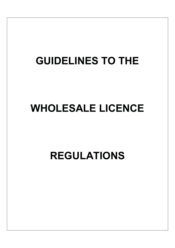# **GUIDELINES TO THE**

# **WHOLESALE LICENCE**

**REGULATIONS**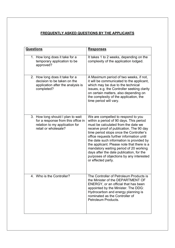# **FREQUENTLY ASKED QUESTIONS BY THE APPLICANTS**

| <b>Questions</b>                                                                                                                  | <b>Responses</b>                                                                                                                                                                                                                                                                                                                                                                                                                                                                                           |
|-----------------------------------------------------------------------------------------------------------------------------------|------------------------------------------------------------------------------------------------------------------------------------------------------------------------------------------------------------------------------------------------------------------------------------------------------------------------------------------------------------------------------------------------------------------------------------------------------------------------------------------------------------|
| 1. How long does it take for a<br>temporary application to be<br>approved?                                                        | It takes 1 to 2 weeks, depending on the<br>complexity of the application lodged.                                                                                                                                                                                                                                                                                                                                                                                                                           |
| 2. How long does it take for a<br>decision to be taken on the<br>application after the analysis is<br>completed?                  | A Maximum period of two weeks, if not,<br>it will be communicated to the applicant,<br>which may be due to the technical<br>issues, e.g. the Controller seeking clarity<br>on certain matters, also depending on<br>the complexity of the application, the<br>time period will vary.                                                                                                                                                                                                                       |
| 3. How long should I plan to wait<br>for a response from this office in<br>relation to my application for<br>retail or wholesale? | We are compelled to respond to you<br>within a period of 90 days. This period<br>must be calculated from the date we<br>receive proof of publication. The 90 day<br>time period stops once the Controller's<br>office requests further information until<br>the date such information is provided by<br>the applicant. Please note that there is a<br>mandatory waiting period of 20 working<br>days after the date publication, for the<br>purposes of objections by any interested<br>or effected party. |
| 4. Who is the Controller?                                                                                                         | The Controller of Petroleum Products is<br>the Minister of the DEPARTMENT OF<br>ENERGY, or an official that has been<br>appointed by the Minister. The DDG:<br>Hydrocarbon and energy planning is<br>nominated as the Controller of<br>Petroleum Products.                                                                                                                                                                                                                                                 |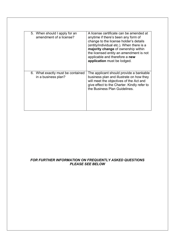| 5. When should I apply for an<br>amendment of a license? | A license certificate can be amended at<br>anytime if there's been any form of<br>change to the license holder's details<br>(entity/individual etc.). When there is a<br>majority change of ownership within<br>the licensed entity an amendment is not<br>applicable and therefore a new<br>application must be lodged. |
|----------------------------------------------------------|--------------------------------------------------------------------------------------------------------------------------------------------------------------------------------------------------------------------------------------------------------------------------------------------------------------------------|
| 6. What exactly must be contained<br>in a business plan? | The applicant should provide a bankable<br>business plan and illustrate on how they<br>will meet the objectives of the Act and<br>give effect to the Charter. Kindly refer to<br>the Business Plan Guidelines.                                                                                                           |

## **FOR FURTHER INFORMATION ON FREQUENTLY ASKED QUESTIONS PLEASE SEE BELOW**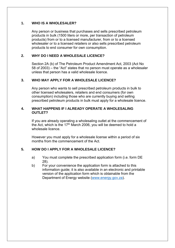## **1. WHO IS A WHOLESALER?**

Any person or business that purchases and sells prescribed petroleum products in bulk (1500 liters or more, per transaction of petroleum products) from or to a licensed manufacturer, from or to a licensed wholesaler or to a licensed retailers or also sells prescribed petroleum products to end consumer for own consumption.

## **2. WHY DO I NEED A WHOLESALE LICENCE?**

Section 2A (b) of The Petroleum Product Amendment Act, 2003 (Act No 58 of 2003) – the "Act" states that no person must operate as a wholesaler unless that person has a valid wholesale licence.

## **3. WHO MAY APPLY FOR A WHOLESALE LICENCE?**

Any person who wants to sell prescribed petroleum products in bulk to other licensed wholesalers, retailers and end consumers (for own consumption) including those who are currently buying and selling prescribed petroleum products in bulk must apply for a wholesale licence.

## **4. WHAT HAPPENS IF I ALREADY OPERATE A WHOLESALING OUTLET?**

If you are already operating a wholesaling outlet at the commencement of the Act, which is the 17th March 2006, you will be deemed to hold a wholesale licence.

However you must apply for a wholesale license within a period of six months from the commencement of the Act.

## **5. HOW DO I APPLY FOR A WHOLESALE LICENCE?**

- a) You must complete the prescribed application form (i.e. form DE 28).
- b) For your convenience the application form is attached to this information guide; it is also available in an electronic and printable version of the application form which is obtainable from the Department of Energy website [\(www.energy.gov.za\)](www.energy.gov.za).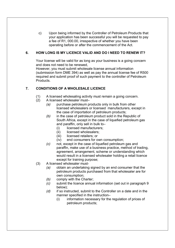Upon being informed by the Controller of Petroleum Products that C) your application has been successful you will be requested to pay a fee of R1, 000,00, irrespective of whether you have been operating before or after the commencement of the Act.

#### HOW LONG IS MY LICENCE VALID AND DO I NEED TO RENEW IT? 6.

Your license will be valid for as long as your business is a going concern and does not need to be renewed,

However, you must submit wholesale license annual information (submission form DME 394) as well as pay the annual license fee of R500 required and submit proof of such payment to the controller of Petroleum Products.

#### $\overline{7}$ . **CONDITIONS OF A WHOLESALE LICENCE**

- A licensed wholesaling activity must remain a going concern.  $(1)$
- $(2)$ A licensed wholesaler must-
	- $(a)$ purchase petroleum products only in bulk from other licensed wholesalers or licensed manufacturers, except in the case of importation of petroleum products:
	- $(b)$ in the case of petroleum product sold in the Republic of South Africa, except in the case of liquefied petroleum gas and paraffin, only sell in bulk to
		- licensed manufacturers:  $(i)$
		- licensed wholesalers:  $(ii)$
		- licensed retailers; or  $(iii)$
		- $(iv)$ end consumers for own consumption;
	- not, except in the case of liquefied petroleum gas and  $(c)$ paraffin, make use of a business practice, method of trading. agreement, arrangement, scheme or understanding which would result in a licensed wholesaler holding a retail licence except for training purpose:
- $(3)$ A licensed wholesaler must
	- obtain an undertaking signed by an end consumer that the  $(a)$ petroleum products purchased from that wholesaler are for own consumption;
	- $(b)$ comply with the Charter;
	- submit the licence annual information (set out in paragraph 9  $(c)$ below):
	- if so instructed, submit to the Controller on a date and in the  $(d)$ manner specified in the instruction-
		- $(i)$ information necessary for the regulation of prices of petroleum products;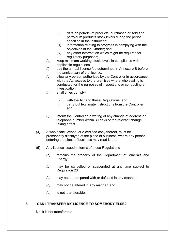- data on petroleum products, purchased or sold and  $(ii)$ petroleum products stock levels during the period specified in the instruction:
- information relating to progress in complying with the  $(iii)$ objectives of the Charter; and
- any other information which might be required for  $(iv)$ regulatory purposes;
- $(e)$ keep minimum working stock levels in compliance with applicable regulations;
- pay the annual licence fee determined in Annexure B before  $(f)$ the anniversary of the licence:
- allow any person authorized by the Controller in accordance  $(a)$ with the Act access to the premises where wholesaling is conducted for the purposes of inspections or conducting an investigation;
- at all times comply- $(h)$ 
	- $(i)$ with the Act and these Regulations; and
	- $(ii)$ carry out legitimate instructions from the Controller; and
- $(i)$ inform the Controller in writing of any change of address or telephone number within 30 days of the relevant change taking effect.
- $(4)$ A wholesale licence, or a certified copy thereof, must be prominently displayed at the place of business, where any person entering the place of business may read it; and
- $(5)$ Any licence issued in terms of these Regulations
	- remains the property of the Department of Minerals and  $(a)$ Energy;
	- may be cancelled or suspended at any time subject to  $(b)$ Regulation 20;
	- may not be tempered with or defaced in any manner;  $(c)$
	- $(d)$ may not be altered in any manner; and
	- $(e)$ is not transferable.

#### 8. CAN I TRANSFER MY LICENCE TO SOMEBODY ELSE?

No, it is not transferable.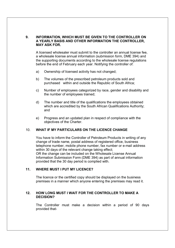## 9. INFORMATION, WHICH MUST BE GIVEN TO THE CONTROLLER ON A YEARLY BASIS AND OTHER INFORMATION THE CONTROLLER. **MAY ASK FOR.**

A licensed wholesaler must submit to the controller an annual license fee, a wholesale license annual information (submission form, DME 394) and the supporting documents according to the wholesale license regulations before the end of February each year. Notifying the controller of:

- Ownership of licensed activity has not changed; a)
- The volumes of the prescribed petroleum products sold and  $b)$ purchased within and outside the Republic of South Africa;
- $\mathsf{C}$ ) Number of employees categorized by race, gender and disability and the number of employees trained;
- The number and title of the qualifications the employees obtained  $(d)$ which are accredited by the South African Qualifications Authority; and
- Progress and an updated plan in respect of compliance with the e) objectives of the Charter.

#### WHAT IF MY PARTICULARS ON THE LICENCE CHANGE  $10<sup>1</sup>$

You have to inform the Controller of Petroleum Products in writing of any change of trade name, postal address of registered office, business telephone number, mobile phone number, fax number or e-mail address within 30 days of the relevant change taking effect; OR the change can be included on the Wholesale License Annual Information Submission Form (DME 394) as part of annual information provided that the 30 day period is complied with.

#### $11.$ **WHERE MUST I PUT MY LICENCE?**

The licence or the certified copy should be displayed on the business premises in a manner which anyone entering the premises may read it.

### $12<sub>1</sub>$ HOW LONG MUST I WAIT FOR THE CONTROLLER TO MAKE A **DECISION?**

The Controller must make a decision within a period of 90 days provided that-